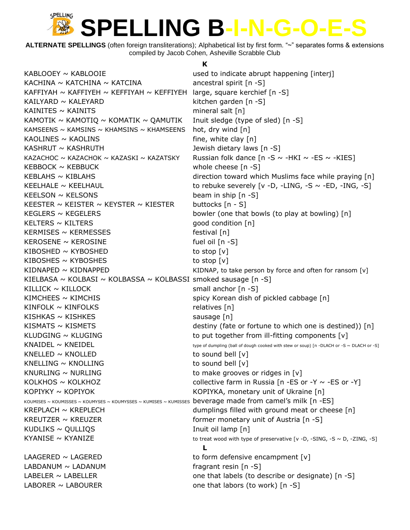**ALTERNATE SPELLINGS** (often foreign transliterations); Alphabetical list by first form. "~" separates forms & extensions compiled by Jacob Cohen, Asheville Scrabble Club

**K**

 $KABLOOEY \sim KABLOOIE$  used to indicate abrupt happening [interj] KACHINA  $\sim$  KATCHINA  $\sim$  KATCINA ancestral spirit [n -S] KAFFIYAH ~ KAFFIYEH ~ KEFFIYAH ~ KEFFIYEH large, square kerchief  $[n -S]$ KAILYARD ~ KALEYARD kitchen garden  $[n -S]$ KAINITES  $\sim$  KAINITS mineral salt [n] KAMOTIK  $\sim$  KAMOTIQ  $\sim$  KOMATIK  $\sim$  QAMUTIK Inuit sledge (type of sled) [n -S] KAMSEENS  $\sim$  KAMSINS  $\sim$  KHAMSINS  $\sim$  KHAMSEENS hot, dry wind [n] KAOLINES  $\sim$  KAOLINS fine, white clay [n] KASHRUT  $\sim$  KASHRUTH  $\sim$  3 and  $\sim$  3 and  $\sim$  3 and  $\sim$  3 and  $\sim$  3 and  $\sim$  3 and  $\sim$  4 and  $\sim$  4 and  $\sim$  4 and  $\sim$  4 and  $\sim$  4 and  $\sim$  4 and  $\sim$  4 and  $\sim$  4 and  $\sim$  4 and  $\sim$  4 and  $\sim$  4 and  $\sim$  4 and KAZACHOC ~ KAZACHOK ~ KAZASKI ~ KAZATSKY Russian folk dance  $[n -S \sim -HKI \sim -ES \sim -KIES]$ KEBBOCK ~ KEBBUCK whole cheese [n -S] KEBLAHS  $\sim$  KIBLAHS direction toward which Muslims face while praying [n] KEELHALE  $\sim$  KEELHAUL to rebuke severely [v -D, -LING, -S  $\sim$  -ED, -ING, -S]  $KEELSON \sim KELSONS$  beam in ship  $[n-S]$ KEESTER ~ KEISTER ~ KEYSTER ~ KIESTER buttocks  $[n - S]$ KEGLERS  $\sim$  KEGELERS bowler (one that bowls (to play at bowling) [n]  $KELTERS \sim KILTERS$  good condition  $[n]$ KERMISES  $\sim$  KERMESSES festival [n]  $KEROSENE \sim KEROSINE$  fuel oil  $[n-S]$  $KIBOSHED \sim KYBOSHED$  to stop  $[v]$ KIBOSHES  $\sim$  KYBOSHES to stop  $[v]$ KIDNAPED  $\sim$  KIDNAPPED  $\sim$  KIDNAPPED KIDNAP, to take person by force and often for ransom [v] KIELBASA ~ KOLBASI ~ KOLBASSA ~ KOLBASSI smoked sausage  $[n -S]$ KILLICK  $\sim$  KILLOCK small anchor [n -S] KIMCHEES ~ KIMCHIS Spicy Korean dish of pickled cabbage [n]  $KINFOLK \sim KINFOLKS$  relatives [n]  $KISHKAS \sim KISHKES$  sausage [n] KISMATS  $\sim$  KISMETS destiny (fate or fortune to which one is destined)) [n] KLUDGING  $\sim$  KLUGING to put together from ill-fitting components  $[v]$ KNAIDEL  $\sim$  KNEIDEL type of dumpling (ball of dough cooked with stew or soup) [n -DLACH or -S ~ DLACH or -S] KNELLED  $\sim$  KNOLLED to sound bell  $[v]$ KNELLING  $\sim$  KNOLLING  $\sim$  The sound bell [v] KNURLING  $\sim$  NURLING to make grooves or ridges in [v] KOLKHOS  $\sim$  KOLKHOZ collective farm in Russia [n -ES or -Y  $\sim$  -ES or -Y] KOPIYKY ~ KOPIYOK KOPIYOK KOPIYKA, monetary unit of Ukraine [n] KOUMISES ~ KOUMISSES ~ KOUMYSES ~ KOUMYSSES ~ KUMISES ~ KUMISSES beverage made from camel's milk [n -ES] KREPLACH ~ KREPLECH dumplings filled with ground meat or cheese [n] KREUTZER  $\sim$  KREUZER  $\sim$  Former monetary unit of Austria [n -S]  $KUDLIKS \sim QULLIQS$  inuit oil lamp  $[n]$ KYANISE  $\sim$  KYANIZE to treat wood with type of preservative [v -D, -SING, -S  $\sim$  D, -ZING, -S] **L** LAAGERED  $\sim$  LAGERED to form defensive encampment  $[v]$  $LABDANUM \sim LADANUM$  fragrant resin [n -S] LABELER  $\sim$  LABELLER  $\sim$  1.48 ELLER one that labels (to describe or designate) [n -S] LABORER  $\sim$  LABOURER  $\sim$  LABOURER one that labors (to work) [n -S]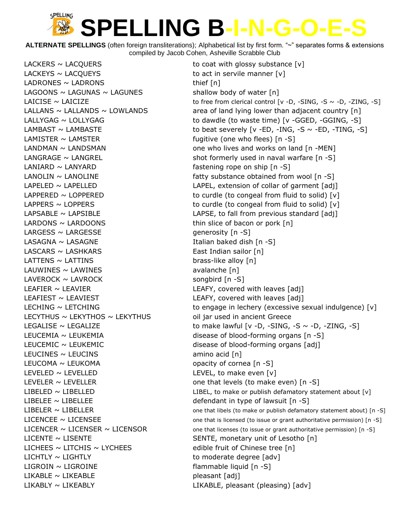**ALTERNATE SPELLINGS** (often foreign transliterations); Alphabetical list by first form. "~" separates forms & extensions compiled by Jacob Cohen, Asheville Scrabble Club

LACKERS  $\sim$  LACQUERS to coat with glossy substance  $[v]$  $LACKEYS \sim LACQUEYS$  to act in servile manner  $[v]$ LADRONES  $\sim$  LADRONS thief [n] LAGOONS  $\sim$  LAGUNAS  $\sim$  LAGUNES shallow body of water  $[n]$ LAMISTER ~ LAMSTER fugitive (one who flees) [n -S] LANIARD  $\sim$  LANYARD  $\sim$  Lany Langle subsets that the fastening rope on ship [n -S] LARDONS  $\sim$  LARDOONS thin slice of bacon or pork  $[n]$  $LARGESS \sim LARGESSE$  generosity  $[n -S]$ LASAGNA ~ LASAGNE Italian baked dish [n -S] LASCARS ~ LASHKARS East Indian sailor [n]  $LATTENS \sim LATTINS$  brass-like alloy  $[n]$ LAUWINES ~ LAWINES avalanche [n]  $LAVEROCK \sim LAVROCK$  songbird  $[n -S]$ LEAFIER ~ LEAVIER LEAFIER LEAFY, covered with leaves [adj] LEAFIEST ~ LEAVIEST LEATHERY, covered with leaves [adj] LECYTHUS  $\sim$  LEKYTHOS  $\sim$  LEKYTHUS oil jar used in ancient Greece LEUCEMIC ~ LEUKEMIC disease of blood-forming organs [adj] LEUCINES  $\sim$  LEUCINS amino acid [n] LEUCOMA  $\sim$  LEUKOMA  $\sim$  CEUKOMA LEVELED  $\sim$  LEVELLED LEVEL, to make even  $[v]$ LEVELER ~ LEVELLER one that levels (to make even) [n -S] LIBELEE ~ LIBELLEE defendant in type of lawsuit [n -S] LICENTE ~ LISENTE SENTE, monetary unit of Lesotho [n] LICHEES  $\sim$  LITCHIS  $\sim$  LYCHEES edible fruit of Chinese tree [n]  $LICHTLY \sim LIGHTLY$  to moderate degree [adv] LIGROIN ~ LIGROINE flammable liquid [n -S]  $LIKABLE \sim LIKEABLE$  pleasant  $[adj]$ LIKABLY ~ LIKEABLY LIKABLE, pleasant (pleasing) [adv]

LAICISE  $\sim$  LAICIZE to free from clerical control [v -D, -SING, -S  $\sim$  -D, -ZING, -S] LALLANS  $\sim$  LALLANDS  $\sim$  LOWLANDS area of land lying lower than adjacent country [n] LALLYGAG ~ LOLLYGAG to dawdle (to waste time) [v -GGED, -GGING, -S] LAMBAST  $\sim$  LAMBASTE to beat severely [v -ED, -ING, -S  $\sim$  -ED, -TING, -S] LANDMAN ~ LANDSMAN one who lives and works on land [n -MEN] LANGRAGE  $\sim$  LANGREL shot formerly used in naval warfare  $[n -S]$  $\text{LANDLIN} \sim \text{LANDLINE}$  fatty substance obtained from wool [n -S] LAPELED ~ LAPELLED LAPEL LAPEL, extension of collar of garment [adj] LAPPERED  $\sim$  LOPPERED to curdle (to congeal from fluid to solid) [v] LAPPERS  $\sim$  LOPPERS to curdle (to congeal from fluid to solid) [v]  $LAPSABLE \sim LAPSIBLE$  LAPSIBLE LAPSE, to fall from previous standard [adj] LECHING ~ LETCHING to engage in lechery (excessive sexual indulgence) [v] LEGALISE  $\sim$  LEGALIZE to make lawful  $[v -D, -SING, -S \sim -D, -ZING, -S]$ LEUCEMIA ~ LEUKEMIA disease of blood-forming organs [n -S] LIBELED ~ LIBELLED LIBEL, to make or publish defamatory statement about [v] LIBELER  $\sim$  LIBELLER  $\sim$  TIBELLER and the statement about) [n -S] LICENCEE ~ LICENSEE one that is licensed (to issue or grant authoritative permission) [n -S] LICENCER  $\sim$  LICENSER  $\sim$  LICENSOR one that licenses (to issue or grant authoritative permission) [n -S]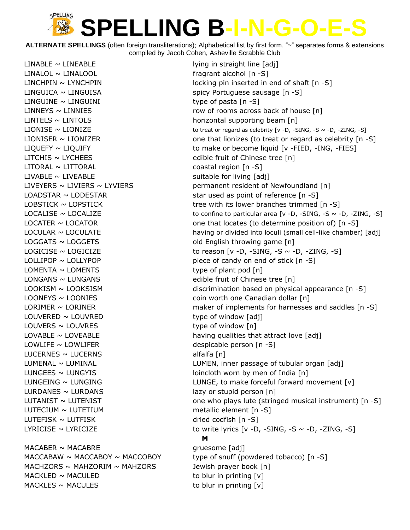**ALTERNATE SPELLINGS** (often foreign transliterations); Alphabetical list by first form. "~" separates forms & extensions compiled by Jacob Cohen, Asheville Scrabble Club

 $LINABLE \sim LINEABLE$  lying in straight line  $[adi]$  $LINALOL \sim LINALOOL$  fragrant alcohol  $[n -S]$ LINGUICA ~ LINGUISA spicy Portuguese sausage [n -S] LINGUINE ~ LINGUINI type of pasta [n -S] LINTELS  $\sim$  LINTOLS horizontal supporting beam [n] LITCHIS ~ LYCHEES edible fruit of Chinese tree [n] LITORAL ~ LITTORAL coastal region [n -S]  $LIVABLE \sim LIVEABLE$  suitable for living  $[adj]$  $LOGGATS \sim LOGGETS$  old English throwing game  $[n]$  $LOMENTA \sim LOMENTS$  type of plant pod [n] LONGANS ~ LUNGANS edible fruit of Chinese tree [n] LOONEYS ~ LOONIES extending the coin worth one Canadian dollar [n]  $LOUVERED \sim LOUVRED$  type of window  $[adj]$  $L$ OUVERS  $\sim$  LOUVRES type of window [n] LOWLIFE  $\sim$  LOWLIFER despicable person  $[n -S]$ LUCERNES  $\sim$  LUCERNS alfalfa [n] LUNGEES  $\sim$  LUNGYIS and the lotter worn by men of India [n] LURDANES  $\sim$  LURDANS lazy or stupid person  $[n]$ LUTECIUM  $\sim$  LUTETIUM metallic element  $[n - S]$ LUTEFISK  $\sim$  LUTFISK dried codfish [n -S]  $MACABER \sim MACABRE$  gruesome [adj] MACHZORS  $\sim$  MAHZORIM  $\sim$  MAHZORS Jewish prayer book [n]  $MACKLED \sim MACULED$  to blur in printing  $[v]$ 

LINCHPIN  $\sim$  LYNCHPIN locking pin inserted in end of shaft  $[n -S]$  $LINNEYS \sim LINNIES$  row of rooms across back of house  $[n]$ LIONISE  $\sim$  LIONIZE to treat or regard as celebrity [v -D, -SING, -S  $\sim$  -D, -ZING, -S] LIONISER  $\sim$  LIONIZER one that lionizes (to treat or regard as celebrity [n -S] LIQUEFY ~ LIQUIFY to make or become liquid [v -FIED, -ING, -FIES] LIVEYERS  $\sim$  LIVIERS  $\sim$  LYVIERS  $\sim$  LYVIERS permanent resident of Newfoundland [n] LOADSTAR  $\sim$  LODESTAR star used as point of reference  $[n -S]$ LOBSTICK  $\sim$  LOPSTICK tree with its lower branches trimmed [n -S] LOCALISE  $\sim$  LOCALIZE to confine to particular area  $[v -D, -SING, -S \sim -D, -ZING, -S]$ LOCATER  $\sim$  LOCATOR  $\sim$  100 me that locates (to determine position of) [n -S]  $\text{LOCULAR} \sim \text{LOCULAR}$   $\sim$   $\text{LOCULAR}$   $\sim$   $\text{Loc}$  having or divided into loculi (small cell-like chamber) [adj] LOGICISE  $\sim$  LOGICIZE to reason  $[v -D, -SING, -S \sim -D, -ZING, -S]$  $LOLLIPOP \sim LOLLYPOP$  end of stick  $[n - S]$  $LOOKISM \sim LOOKSISM$  discrimination based on physical appearance  $[n -S]$ LORIMER  $\sim$  LORINER maker of implements for harnesses and saddles [n -S] LOVABLE  $\sim$  LOVEABLE that attract love [adj] LUMENAL  $\sim$  LUMINAL  $\sim$  LUMEN, inner passage of tubular organ [adj] LUNGEING ~ LUNGING LUNGE, to make forceful forward movement [v] LUTANIST  $\sim$  LUTENIST  $\sim$  10. TENSE and the who plays lute (stringed musical instrument) [n -S] LYRICISE  $\sim$  LYRICIZE  $\sim$  to write lyrics [v -D, -SING, -S  $\sim$  -D, -ZING, -S] **M** MACCABAW  $\sim$  MACCABOY  $\sim$  MACCOBOY type of snuff (powdered tobacco) [n -S]  $MACKLES \sim MACULES$  to blur in printing  $[v]$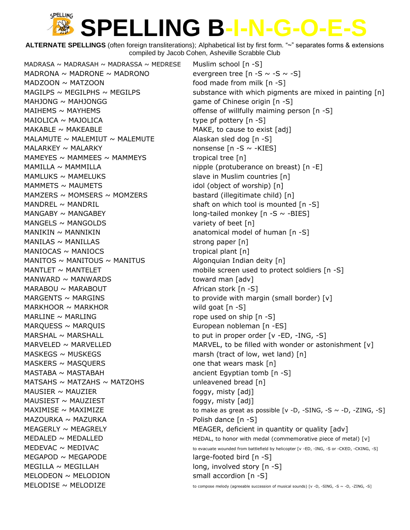**ALTERNATE SPELLINGS** (often foreign transliterations); Alphabetical list by first form. "~" separates forms & extensions compiled by Jacob Cohen, Asheville Scrabble Club

MADRASA ~ MADRASAH ~ MADRASSA ~ MEDRESE Muslim school  $[n -S]$ MADRONA ~ MADRONE ~ MADRONO evergreen tree  $[n -S \sim -S \sim -S]$  $MADZOON \sim MATZOON$  food made from milk  $[n -S]$ MAHJONG  $\sim$  MAHJONGG  $\sim$  10 mm  $\sim$  9 mm  $\sim$  9 mm  $\sim$  9 mm  $\sim$  9 mm  $\sim$  9 mm  $\sim$  9 mm  $\sim$  9 mm  $\sim$  9 mm  $\sim$  9 mm  $\sim$  9 mm  $\sim$  9 mm  $\sim$  9 mm  $\sim$  9 mm  $\sim$  9 mm  $\sim$  9 mm  $\sim$  9 mm  $\sim$  9 mm  $\sim$  9 mm  $\sim$  9 m MAIHEMS  $\sim$  MAYHEMS  $\sim$  MAYHEMS offense of willfully maiming person [n -S]  $MAIOLICA \sim MAJOLICA$  type pf pottery  $[n -S]$  $MAKABLE \sim MAKEABLE$  MAKE, to cause to exist [adj] MALAMUTE  $\sim$  MALEMIUT  $\sim$  MALEMUTE Alaskan sled dog [n -S]  $MALARKEY \sim MALARKY$  nonsense [n -S  $\sim$  -KIES] MAMEYES  $\sim$  MAMMEES  $\sim$  MAMMEYS tropical tree [n] MAMILLA  $\sim$  MAMMILLA  $\sim$  10 mipple (protuberance on breast) [n -E]  $MAMLUKS \sim MAMELUKS$  slave in Muslim countries [n]  $MAMMETS \sim MAUMETS$  idol (object of worship)  $[n]$ MAMZERS ~ MOMSERS ~ MOMZERS bastard (illegitimate child)  $[n]$ MANDREL  $\sim$  MANDRIL shaft on which tool is mounted [n -S]  $MANGABY \sim MANGABEY$  is a set of long-tailed monkey  $[n - S \sim -BIES]$  $MANGELS \sim MANGOLDS$  variety of beet [n]  $MANIKIN \sim MANNIKIN$  anatomical model of human [n -S]  $MANILAS \sim MANILLAS$  strong paper [n]  $MANIOCAS \sim MANIOCS$  tropical plant [n] MANITOS  $\sim$  MANITOUS  $\sim$  MANITUS Algonquian Indian deity [n] MANWARD ~ MANWARDS toward man [adv]  $MARABOU \sim MARABOUT$  African stork [n -S] MARGENTS  $\sim$  MARGINS to provide with margin (small border) [v]  $MARKHOOR \sim MARKHOR$  wild goat  $[n -S]$ MARLINE  $\sim$  MARLING  $\sim$  matrices in the state of the state of ship [n -S] MARQUESS ~ MARQUIS **European nobleman** [n -ES] MARSHAL  $\sim$  MARSHALL  $\sim$  MARSHALL to put in proper order [v -ED, -ING, -S] MASKEGS  $\sim$  MUSKEGS marsh (tract of low, wet land) [n]  $MASKERS \sim MASQUERS$  one that wears mask [n] MASTABA ~ MASTABAH  $\sim$  MASTABAH ancient Egyptian tomb [n -S] MATSAHS  $\sim$  MATZAHS  $\sim$  MATZOHS unleavened bread [n]  $M$ AUSIER ~ MAUZIER foggy, misty  $[adj]$  $M_A$ USIEST ~ MAUZIEST  $\sim$  MAUZIEST  $\sim$  misty  $[adj]$  $MAZOURKA \sim MAZURKA$   $\sim$   $MAZURKA$  Polish dance  $[n - S]$ MEGAPOD ~ MEGAPODE large-footed bird [n -S]  $MEGILLA \sim MEGILLAH$  long, involved story [n -S] MELODEON ~ MELODION small accordion [n -S]  $MELODISE \sim MELODIZE$  to compose melody (agreeable succession of musical sounds) [v -D, -SING, -S ~ -D, -ZING, -S]

MAGILPS  $\sim$  MEGILPHS  $\sim$  MEGILPS substance with which pigments are mixed in painting [n] MANTLET  $\sim$  MANTELET mobile screen used to protect soldiers [n -S] MARVELED  $\sim$  MARVELLED  $\sim$  MARVEL, to be filled with wonder or astonishment [v] MAXIMISE  $\sim$  MAXIMIZE to make as great as possible [v -D, -SING, -S  $\sim$  -D, -ZING, -S]  $MEAGERLY \sim MEAGRELY$  MEAGER, deficient in quantity or quality  $\lceil adv \rceil$  $MEDALED \sim MEDALLED$  MEDALLED MEDAL, to honor with medal (commemorative piece of metal) [v]  $MEDEVAC \sim MEDIVAC$  To evacuate wounded from battlefield by helicopter [v -ED, -ING, -S or -CKED, -CKING, -S]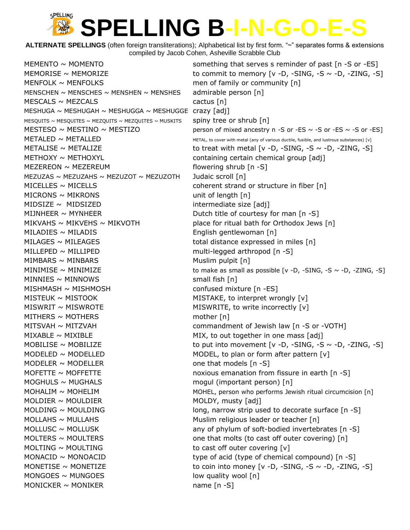**ALTERNATE SPELLINGS** (often foreign transliterations); Alphabetical list by first form. "~" separates forms & extensions compiled by Jacob Cohen, Asheville Scrabble Club

MEMENTO  $\sim$  MOMENTO something that serves s reminder of past  $[n -S$  or -ES MEMORISE  $\sim$  MEMORIZE to commit to memory  $[v - D, -SING, -S \sim -D, -ZING, -S]$ MENFOLK  $\sim$  MENFOLKS men of family or community  $[n]$ MENSCHEN  $\sim$  MENSCHES  $\sim$  MENSHEN  $\sim$  MENSHES admirable person [n]  $MESCALS \sim MEZCALS$  cactus [n] MESHUGA ~ MESHUGAH ~ MESHUGGA ~ MESHUGGE crazy [adj] MESQUITS ~ MESQUITES ~ MEZQUITS ~ MEZQUITES ~ MUSKITS spiny tree or shrub  $\lceil n \rceil$ MESTESO  $\sim$  MESTINO  $\sim$  MESTIZO person of mixed ancestry n -S or -ES  $\sim$  -S or -ES  $\sim$  -S or -ES]  $METALED \sim METALLED$  METALLED METAL, to cover with metal (any of various ductile, fusible, and lustrous substances) [v] METALISE  $\sim$  METALIZE to treat with metal [v -D, -SING, -S  $\sim$  -D, -ZING, -S]  $METHOXY \sim METHOXYL$  containing certain chemical group [adj] MEZEREON ~ MEZEREUM **depart of the state of the state of the state of the state of the state of the state of the state of the state of the state of the state of the state of the state of the state of the state of the state** MEZUZAS ~ MEZUZAHS ~ MEZUZOT ~ MEZUZOTH Judaic scroll [n]  $MICELLES \sim MICELLS$  coherent strand or structure in fiber [n]  $MICRONS \sim MKRONS$  unit of length  $[n]$  $MIDSIZE ~ MIDSIZED$  intermediate size [adj] MIJNHEER  $\sim$  MYNHEER  $\sim$  MYNHEER  $\sim$  000 mm  $\sim$  50 mm  $\sim$  50 mm  $\sim$  50 mm  $\sim$  50 mm  $\sim$  50 mm  $\sim$  50 mm  $\sim$  50 mm  $\sim$  50 mm  $\sim$  50 mm  $\sim$  50 mm  $\sim$  50 mm  $\sim$  50 mm  $\sim$  50 mm  $\sim$  50 mm  $\sim$  50 mm  $\sim$  50 m MIKVAHS  $\sim$  MIKVEHS  $\sim$  MIKVOTH place for ritual bath for Orthodox Jews [n] MILADIES ~ MILADIS THE RESOLUTION CONSUMING English gentlewoman [n] MILAGES  $\sim$  MILEAGES total distance expressed in miles  $[n]$ MILLEPED ~ MILLIPED multi-legged arthropod [n -S]  $MIMBARS \sim MINBARS$  Minder Muslim pulpit  $[n]$ MINIMISE  $\sim$  MINIMIZE to make as small as possible  $[v -D, -SING, -S -D, -ZING, -S]$  $MINNIES \sim MINNOWS$  small fish [n] MISHMASH ~ MISHMOSH confused mixture [n -ES] MISTEUK  $\sim$  MISTOOK MISTAKE, to interpret wrongly  $[v]$  $MISWRIT \sim MISWROTE$  MISWRITE, to write incorrectly [v]  $M$ THERS ~ MOTHERS mother [n] MITSVAH ~ MITZVAH **commandment of Jewish law [n -S or -VOTH**]  $MIXABLE \sim MIXIBLE$  MIX. To out together in one mass [adj] MOBILISE  $\sim$  MOBILIZE to put into movement [v -D, -SING, -S  $\sim$  -D, -ZING, -S] MODELED  $\sim$  MODELLED MODEL, to plan or form after pattern  $[v]$ MODELER  $\sim$  MODELLER  $\sim$  models [n -S] MOFETTE  $\sim$  MOFFETTE noxious emanation from fissure in earth [n -S] MOGHULS ~ MUGHALS mogul (important person) [n] MOHALIM ~ MOHELIM MOHEL, person who performs Jewish ritual circumcision [n]  $MOLDIER \sim MOLDIER$  MOLDIER MOLDY, musty  $[adj]$ MOLDING  $\sim$  MOULDING  $\sim$  1000 mm and long, narrow strip used to decorate surface [n -S]  $MOLLAHS \sim MULLAHS$  Muslim religious leader or teacher [n] MOLLUSC  $\sim$  MOLLUSK any of phylum of soft-bodied invertebrates  $\lceil n - S \rceil$ MOLTERS  $\sim$  MOULTERS  $\sim$  molto that molts (to cast off outer covering) [n] MOLTING  $\sim$  MOULTING to cast off outer covering  $[v]$ MONACID  $\sim$  MONOACID  $\sim$  100 type of acid (type of chemical compound) [n -S] MONETISE ~ MONETIZE to coin into money [v -D, -SING, -S ~ -D, -ZING, -S]  $MONGOES \sim MUNGOES$  in the low quality wool  $[n]$ MONICKER  $\sim$  MONIKER name [n -S]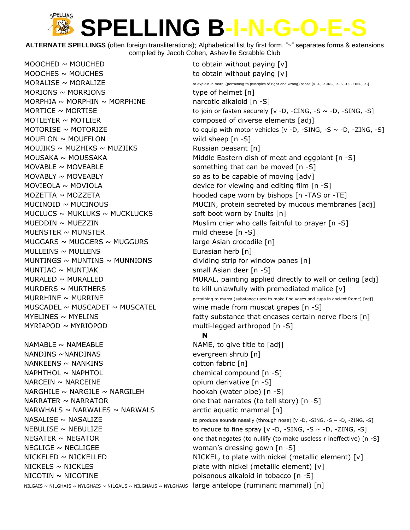**ALTERNATE SPELLINGS** (often foreign transliterations); Alphabetical list by first form. "~" separates forms & extensions compiled by Jacob Cohen, Asheville Scrabble Club

MOOCHED  $\sim$  MOUCHED  $\sim$  MOUCHED to obtain without paying  $[v]$ MOOCHES  $\sim$  MOUCHES  $\sim$  MOUCHES MORIONS  $\sim$  MORRIONS type of helmet [n] MORPHIA ~ MORPHIN ~ MORPHINE narcotic alkaloid  $[n -S]$ MOTLEYER ~ MOTLIER composed of diverse elements [adj]  $M$ OUFLON ~ MOUFFLON wild sheep  $[n - S]$ MOUJIKS ~ MUZHIKS ~ MUZJIKS Russian peasant  $[n]$ MOVABLE  $\sim$  MOVEABLE something that can be moved  $[n -S]$ MOVABLY  $\sim$  MOVEABLY  $\sim$  MOVEABLY so as to be capable of moving [adv] MUCLUCS  $\sim$  MUKLUKS  $\sim$  MUCKLUCKS soft boot worn by Inuits [n] MUENSTER  $\sim$  MUNSTER mild cheese [n -S] MUGGARS  $\sim$  MUGGERS  $\sim$  MUGGURS large Asian crocodile [n]  $MULLEINS \sim MULLENS$  Eurasian herb [n] MUNTINGS  $\sim$  MUNTINS  $\sim$  MUNNIONS dividing strip for window panes [n] MUNTJAC  $\sim$  MUNTJAK small Asian deer [n -S] MUSCADEL  $\sim$  MUSCADET  $\sim$  MUSCATEL wine made from muscat grapes [n -S] MYRIAPOD ~ MYRIOPOD multi-legged arthropod [n -S]  $NAMABLE \sim NAMEABLE$  NAME, to give title to  $[adj]$ NANDINS ~NANDINAS evergreen shrub [n]  $NANKEENS \sim NANKINS$  cotton fabric  $[n]$ NAPHTHOL ~ NAPHTOL chemical compound [n -S]  $NARCEIN \sim NARCEINE$  opium derivative  $[n - S]$ NARGHILE  $\sim$  NARGILE  $\sim$  NARGILEH hookah (water pipe) [n -S] NARRATER  $\sim$  NARRATOR one that narrates (to tell story) [n -S] NARWHALS  $\sim$  NARWALES  $\sim$  NARWALS arctic aquatic mammal [n] NEGLIGE ~ NEGLIGEE woman's dressing gown [n -S]

 $MORALISE \sim MORALIZE$  to explain in moral (pertaining to principles of right and wrong) sense [v -D, -SING, -S ~ -D, -ZING, -S] MORTICE  $\sim$  MORTISE to join or fasten securely [v -D, -CING, -S  $\sim$  -D, -SING, -S] MOTORISE  $\sim$  MOTORIZE to equip with motor vehicles [v -D, -SING, -S  $\sim$  -D, -ZING, -S]  $MOUSAKA \sim MOUSSAKA$  Middle Eastern dish of meat and eggplant [n -S] MOVIEOLA  $\sim$  MOVIOLA  $\sim$  MOVIOLA MOZETTA ~ MOZZETA **hooded cape worn by bishops [n** -TAS or -TE]  $MUCINOID \sim MUCINOUS$  MUCIN MUCIN, protein secreted by mucous membranes [adj] MUEDDIN  $\sim$  MUEZZIN Muslim crier who calls faithful to prayer  $[n -S]$ MURALED  $\sim$  MURALLED  $\sim$  MURAL, painting applied directly to wall or ceiling [adj] MURDERS  $\sim$  MURTHERS to kill unlawfully with premediated malice [v] MURRHINE  $\sim$  MURRINE **pertaining to murra (substance used to make fine vases and cups in ancient Rome)** [adj] MYELINES  $\sim$  MYELINS  $\sim$  MYELINS  $\sim$  100 m  $\sim$  fatty substance that encases certain nerve fibers [n] **N**  $NASALISE \sim NASALIZE$  to produce sounds nasally (through nose) [v -D, -SING, -S ~ -D, -ZING, -S] NEBULISE  $\sim$  NEBULIZE to reduce to fine spray  $[v -D, -SING, -S \sim -D, -ZING, -S]$  $NEGATER \sim NEGATOR$  one that negates (to nullify (to make useless r ineffective) [n -S]  $NICKELED \sim NICKELLED$  NICKEL, to plate with nickel (metallic element) [v]  $NICKELS \sim NICKLES$  plate with nickel (metallic element)  $[v]$  $NICOTIN \sim NICOTINE$  poisonous alkaloid in tobacco  $[n -S]$ 

NILGAIS ~ NILGHAIS ~ NYLGHAIS ~ NILGAUS ~ NILGHAUS ~ NYLGHAUS large antelope (ruminant mammal) [n]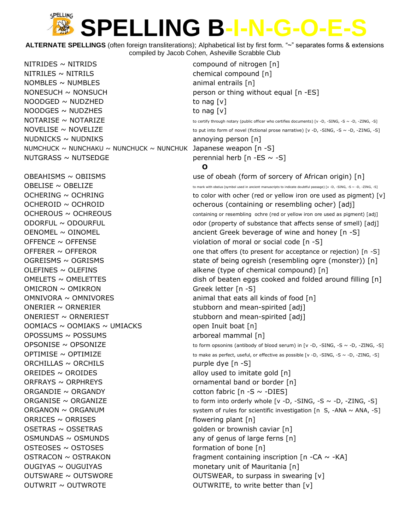**ALTERNATE SPELLINGS** (often foreign transliterations); Alphabetical list by first form. "~" separates forms & extensions compiled by Jacob Cohen, Asheville Scrabble Club

NITRIDES ~ NITRIDS compound of nitrogen [n]  $NITRILES \sim NITRILS$  chemical compound  $[n]$  $NOMBLES \sim NUMBLES$  animal entrails  $[n]$ NONESUCH  $\sim$  NONSUCH person or thing without equal [n -ES]  $NOODGED \sim NUDZHED$  to nag [v]  $NOODGES \sim NUDZHES$  to nag [v]  $NUDNICKS \sim NUDNIKS$  annoying person [n] NUMCHUCK  $\sim$  NUNCHAKU  $\sim$  NUNCHUCK  $\sim$  NUNCHUK Japanese weapon [n -S] NUTGRASS  $\sim$  NUTSEDGE perennial herb [n -ES  $\sim$  -S] OFFENCE  $\sim$  OFFENSE violation of moral or social code [n -S] OLEFINES ~ OLEFINS alkene (type of chemical compound) [n]  $OMICRON \sim OMIKRON$  Greek letter [n -S]  $OMNIVORA \sim OMNIVORES$  animal that eats all kinds of food [n] ONERIER  $\sim$  ORNERIER stubborn and mean-spirited [adj]  $\overline{O}$  ONERIEST  $\sim$  ORNERIEST stubborn and mean-spirited [adj]  $OOMIACS \sim OOMIAKS \sim UMIACKS$  open Inuit boat [n] OPOSSUMS ~ POSSUMS arboreal mammal [n]  $ORCHILLAS \sim ORCHILS$  purple dye  $[n-S]$ OREIDES  $\sim$  OROIDES alloy used to imitate gold  $[n]$  $ORFRAYS \sim ORPHREYS$  ornamental band or border [n]  $ORGANDIE \sim ORGANDY$  cotton fabric  $[n-S \sim -DIES]$  $ORRICES \sim ORRISES$  flowering plant [n] OSETRAS ~ OSSETRAS extended to the distribution of the distribution of brownish caviar [n]  $OSMUNDAS \sim OSMUNDS$  any of genus of large ferns  $[n]$  $OSTEOSES \sim OSTOSES$  formation of bone [n]  $OUGIYAS \sim OUGUIYAS$  monetary unit of Mauritania [n] OUTSWARE ~ OUTSWORE **DESITY OUTSWEAR, to surpass in swearing [v]**  $\text{OUTWRIT} \sim \text{OUTWROTE}$  OUTWRITE, to write better than [v]

 $\text{NOTARISE} \sim \text{NOTARIZE}$  to certify through notary (public officer who certifies documents) [v -D, -SING, -S ~ -D, -ZING, -S]  $NOWELISE \sim NOWELIZE$  to put into form of novel (fictional prose narrative) [v -D, -SING, -S ~ -D, -ZING, -S] **O** OBEAHISMS ~ OBIISMS use of obeah (form of sorcery of African origin) [n]  $\overline{OBELISE}$  ~  $\overline{OBELIZE}$  to mark with obelus (symbol used in ancient manuscripts to indicate doubtful passage) [v -D, -SING, -S ~ -D, -ZING, -S] OCHERING  $\sim$  OCHRING  $\sim$   $\sim$  000  $\sim$   $\sim$  0000  $\sim$  to color with ocher (red or yellow iron ore used as pigment) [v] OCHEROID ~ OCHROID ocherous (containing or resembling ocher) [adj]  $OCHEROUS \sim OCHREOUS$  containing or resembling ochre (red or yellow iron ore used as pigment) [adj]  $ODORFUL \sim ODOURFUL$  odor (property of substance that affects sense of smell) [adj] OENOMEL ~ OINOMEL **but ancient Greek beverage of wine and honey** [n -S] OFFERER ~ OFFEROR **OFFEROR** One that offers (to present for acceptance or rejection) [n -S] OGREISMS ~ OGRISMS state of being ogreish (resembling ogre (monster)) [n]  $OMELETS ~ OMELETTES$  dish of beaten eggs cooked and folded around filling  $[n]$ OPSONISE ~ OPSONIZE to form opsonins (antibody of blood serum) in [v -D, -SING, -S ~ -D, -ZING, -S]  $OPTIMISE \sim OPTIMIZE$  to make as perfect, useful, or effective as possible [v -D, -SING, -S ~ -D, -ZING, -S] ORGANISE  $\sim$  ORGANIZE to form into orderly whole [v -D, -SING, -S  $\sim$  -D, -ZING, -S] ORGANON  $\sim$  ORGANUM system of rules for scientific investigation [n S, -ANA  $\sim$  ANA, -S] OSTRACON  $\sim$  OSTRAKON fragment containing inscription [n -CA  $\sim$  -KA]